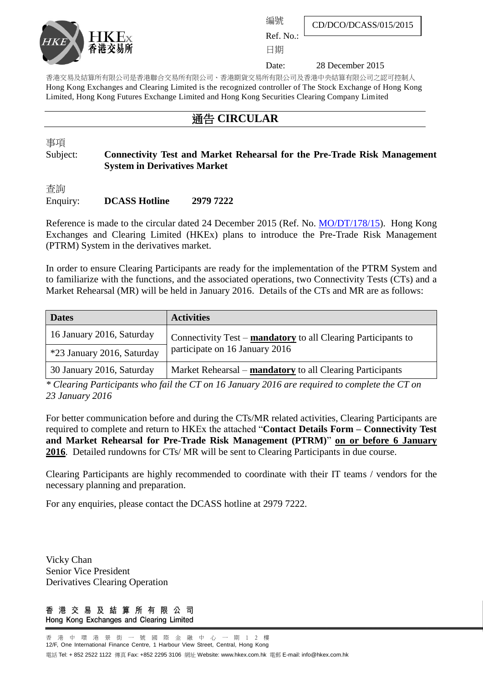

編號

Ref. No.: 日期

Date: 28 December 2015

CD/DCO/DCASS/015/2015

香港交易及結算所有限公司是香港聯合交易所有限公司、香港期貨交易所有限公司及香港中央結算有限公司之認可控制人 Hong Kong Exchanges and Clearing Limited is the recognized controller of The Stock Exchange of Hong Kong Limited, Hong Kong Futures Exchange Limited and Hong Kong Securities Clearing Company Limited

## 通告 **CIRCULAR**

事項

## Subject: **Connectivity Test and Market Rehearsal for the Pre-Trade Risk Management System in Derivatives Market**

查詢

## Enquiry: **DCASS Hotline 2979 7222**

Reference is made to the circular dated 24 December 2015 (Ref. No. [MO/DT/178/15\)](http://www.hkex.com.hk/eng/market/partcir/hkfe/2015/Documents/MO_DT_178_15_e.pdf). Hong Kong Exchanges and Clearing Limited (HKEx) plans to introduce the Pre-Trade Risk Management (PTRM) System in the derivatives market.

In order to ensure Clearing Participants are ready for the implementation of the PTRM System and to familiarize with the functions, and the associated operations, two Connectivity Tests (CTs) and a Market Rehearsal (MR) will be held in January 2016. Details of the CTs and MR are as follows:

| <b>Dates</b>               | <b>Activities</b>                                             |
|----------------------------|---------------------------------------------------------------|
| 16 January 2016, Saturday  | Connectivity Test – mandatory to all Clearing Participants to |
| *23 January 2016, Saturday | participate on 16 January 2016                                |
| 30 January 2016, Saturday  | Market Rehearsal – mandatory to all Clearing Participants     |

*\* Clearing Participants who fail the CT on 16 January 2016 are required to complete the CT on 23 January 2016*

For better communication before and during the CTs/MR related activities, Clearing Participants are required to complete and return to HKEx the attached "**Contact Details Form – Connectivity Test and Market Rehearsal for Pre-Trade Risk Management (PTRM)**" **on or before 6 January 2016**. Detailed rundowns for CTs/ MR will be sent to Clearing Participants in due course.

Clearing Participants are highly recommended to coordinate with their IT teams / vendors for the necessary planning and preparation.

For any enquiries, please contact the DCASS hotline at 2979 7222.

Vicky Chan Senior Vice President Derivatives Clearing Operation

香港交易及結算所有限公司 Hong Kong Exchanges and Clearing Limited